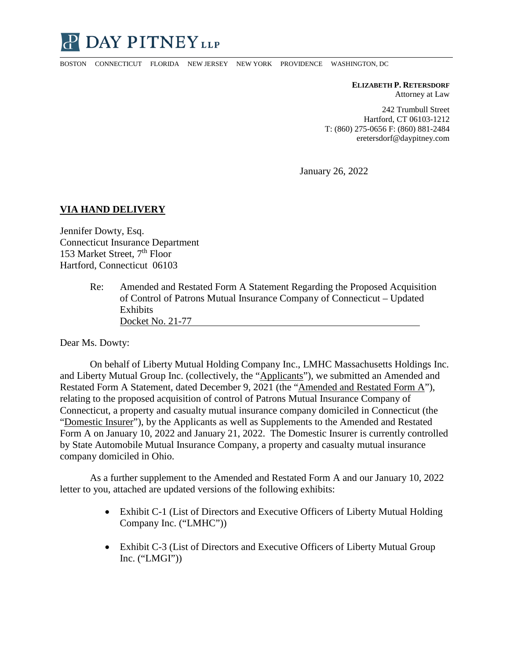

BOSTON CONNECTICUT FLORIDA NEW JERSEY NEW YORK PROVIDENCE WASHINGTON, DC

**ELIZABETH P. RETERSDORF** Attorney at Law

242 Trumbull Street Hartford, CT 06103-1212 T: (860) 275-0656 F: (860) 881-2484 eretersdorf@daypitney.com

January 26, 2022

## **VIA HAND DELIVERY**

Jennifer Dowty, Esq. Connecticut Insurance Department 153 Market Street,  $7<sup>th</sup>$  Floor Hartford, Connecticut 06103

> Re: Amended and Restated Form A Statement Regarding the Proposed Acquisition of Control of Patrons Mutual Insurance Company of Connecticut – Updated Exhibits Docket No. 21-77

Dear Ms. Dowty:

On behalf of Liberty Mutual Holding Company Inc., LMHC Massachusetts Holdings Inc. and Liberty Mutual Group Inc. (collectively, the "Applicants"), we submitted an Amended and Restated Form A Statement, dated December 9, 2021 (the "Amended and Restated Form A"), relating to the proposed acquisition of control of Patrons Mutual Insurance Company of Connecticut, a property and casualty mutual insurance company domiciled in Connecticut (the "Domestic Insurer"), by the Applicants as well as Supplements to the Amended and Restated Form A on January 10, 2022 and January 21, 2022. The Domestic Insurer is currently controlled by State Automobile Mutual Insurance Company, a property and casualty mutual insurance company domiciled in Ohio.

As a further supplement to the Amended and Restated Form A and our January 10, 2022 letter to you, attached are updated versions of the following exhibits:

- Exhibit C-1 (List of Directors and Executive Officers of Liberty Mutual Holding Company Inc. ("LMHC"))
- Exhibit C-3 (List of Directors and Executive Officers of Liberty Mutual Group Inc.  $("LMGI")$